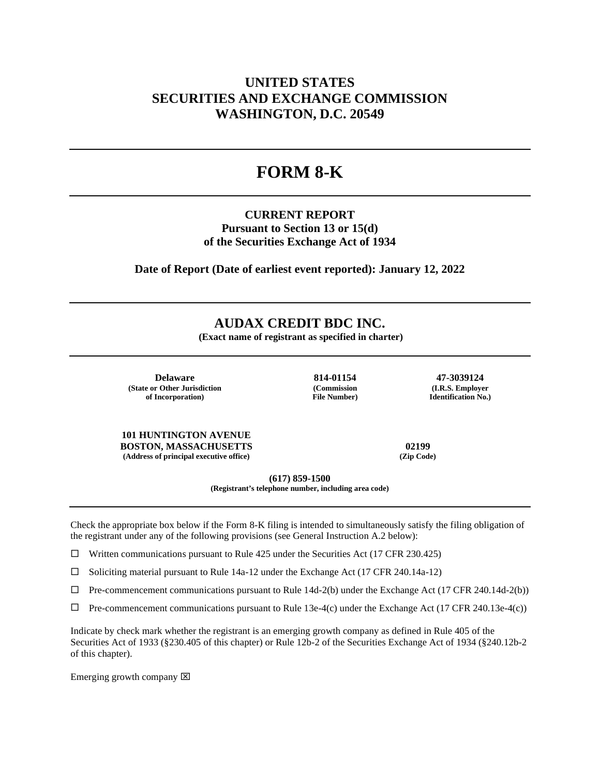## **UNITED STATES SECURITIES AND EXCHANGE COMMISSION WASHINGTON, D.C. 20549**

# **FORM 8-K**

### **CURRENT REPORT Pursuant to Section 13 or 15(d) of the Securities Exchange Act of 1934**

**Date of Report (Date of earliest event reported): January 12, 2022**

### **AUDAX CREDIT BDC INC.**

**(Exact name of registrant as specified in charter)**

**Delaware 814-01154 47-3039124 (State or Other Jurisdiction of Incorporation)**

**(Commission File Number)**

**(I.R.S. Employer Identification No.)**

**101 HUNTINGTON AVENUE BOSTON, MASSACHUSETTS 02199 (Address of principal executive office) (Zip Code)**

**(617) 859-1500**

**(Registrant's telephone number, including area code)**

Check the appropriate box below if the Form 8-K filing is intended to simultaneously satisfy the filing obligation of the registrant under any of the following provisions (see General Instruction A.2 below):

 $\Box$  Written communications pursuant to Rule 425 under the Securities Act (17 CFR 230.425)

 $\square$  Soliciting material pursuant to Rule 14a-12 under the Exchange Act (17 CFR 240.14a-12)

 $\Box$  Pre-commencement communications pursuant to Rule 14d-2(b) under the Exchange Act (17 CFR 240.14d-2(b))

 $\Box$  Pre-commencement communications pursuant to Rule 13e-4(c) under the Exchange Act (17 CFR 240.13e-4(c))

Indicate by check mark whether the registrant is an emerging growth company as defined in Rule 405 of the Securities Act of 1933 (§230.405 of this chapter) or Rule 12b-2 of the Securities Exchange Act of 1934 (§240.12b-2 of this chapter).

Emerging growth company  $\boxtimes$